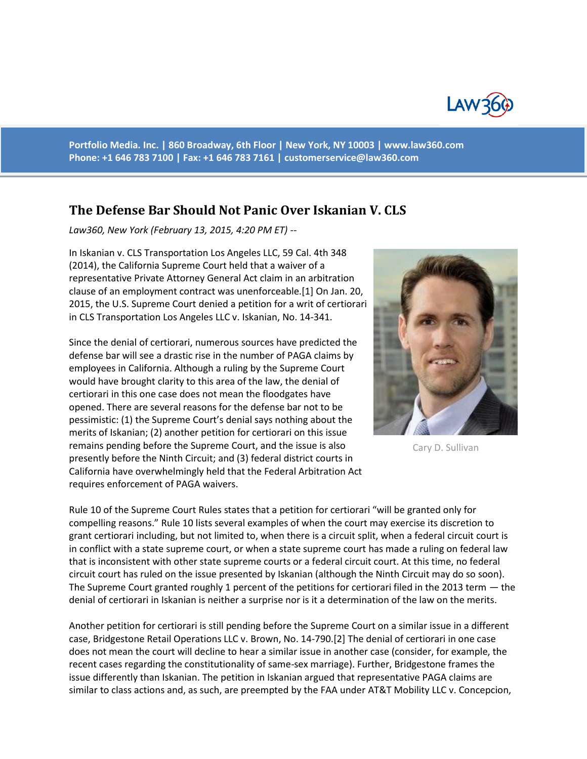

**Portfolio Media. Inc. | 860 Broadway, 6th Floor | New York, NY 10003 | www.law360.com Phone: +1 646 783 7100 | Fax: +1 646 783 7161 | [customerservice@law360.com](mailto:customerservice@law360.com)**

## **The Defense Bar Should Not Panic Over Iskanian V. CLS**

*Law360, New York (February 13, 2015, 4:20 PM ET) --*

In Iskanian v. CLS Transportation Los Angeles LLC, 59 Cal. 4th 348 (2014), the California Supreme Court held that a waiver of a representative Private Attorney General Act claim in an arbitration clause of an employment contract was unenforceable.[1] On Jan. 20, 2015, the U.S. Supreme Court denied a petition for a writ of certiorari in CLS Transportation Los Angeles LLC v. Iskanian, No. 14-341.

Since the denial of certiorari, numerous sources have predicted the defense bar will see a drastic rise in the number of PAGA claims by employees in California. Although a ruling by the Supreme Court would have brought clarity to this area of the law, the denial of certiorari in this one case does not mean the floodgates have opened. There are several reasons for the defense bar not to be pessimistic: (1) the Supreme Court's denial says nothing about the merits of Iskanian; (2) another petition for certiorari on this issue remains pending before the Supreme Court, and the issue is also presently before the Ninth Circuit; and (3) federal district courts in California have overwhelmingly held that the Federal Arbitration Act requires enforcement of PAGA waivers.



Cary D. Sullivan

Rule 10 of the Supreme Court Rules states that a petition for certiorari "will be granted only for compelling reasons." Rule 10 lists several examples of when the court may exercise its discretion to grant certiorari including, but not limited to, when there is a circuit split, when a federal circuit court is in conflict with a state supreme court, or when a state supreme court has made a ruling on federal law that is inconsistent with other state supreme courts or a federal circuit court. At this time, no federal circuit court has ruled on the issue presented by Iskanian (although the Ninth Circuit may do so soon). The Supreme Court granted roughly 1 percent of the petitions for certiorari filed in the 2013 term — the denial of certiorari in Iskanian is neither a surprise nor is it a determination of the law on the merits.

Another petition for certiorari is still pending before the Supreme Court on a similar issue in a different case, Bridgestone Retail Operations LLC v. Brown, No. 14-790.[2] The denial of certiorari in one case does not mean the court will decline to hear a similar issue in another case (consider, for example, the recent cases regarding the constitutionality of same-sex marriage). Further, Bridgestone frames the issue differently than Iskanian. The petition in Iskanian argued that representative PAGA claims are similar to class actions and, as such, are preempted by the FAA under AT&T Mobility LLC v. Concepcion,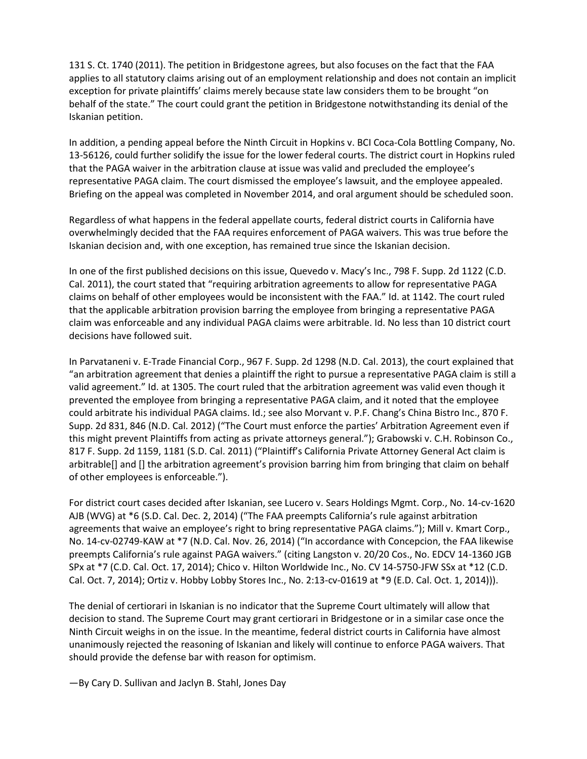131 S. Ct. 1740 (2011). The petition in Bridgestone agrees, but also focuses on the fact that the FAA applies to all statutory claims arising out of an employment relationship and does not contain an implicit exception for private plaintiffs' claims merely because state law considers them to be brought "on behalf of the state." The court could grant the petition in Bridgestone notwithstanding its denial of the Iskanian petition.

In addition, a pending appeal before the Ninth Circuit in Hopkins v. BCI Coca-Cola Bottling Company, No. 13-56126, could further solidify the issue for the lower federal courts. The district court in Hopkins ruled that the PAGA waiver in the arbitration clause at issue was valid and precluded the employee's representative PAGA claim. The court dismissed the employee's lawsuit, and the employee appealed. Briefing on the appeal was completed in November 2014, and oral argument should be scheduled soon.

Regardless of what happens in the federal appellate courts, federal district courts in California have overwhelmingly decided that the FAA requires enforcement of PAGA waivers. This was true before the Iskanian decision and, with one exception, has remained true since the Iskanian decision.

In one of the first published decisions on this issue, Quevedo v. Macy's Inc., 798 F. Supp. 2d 1122 (C.D. Cal. 2011), the court stated that "requiring arbitration agreements to allow for representative PAGA claims on behalf of other employees would be inconsistent with the FAA." Id. at 1142. The court ruled that the applicable arbitration provision barring the employee from bringing a representative PAGA claim was enforceable and any individual PAGA claims were arbitrable. Id. No less than 10 district court decisions have followed suit.

In Parvataneni v. E-Trade Financial Corp., 967 F. Supp. 2d 1298 (N.D. Cal. 2013), the court explained that "an arbitration agreement that denies a plaintiff the right to pursue a representative PAGA claim is still a valid agreement." Id. at 1305. The court ruled that the arbitration agreement was valid even though it prevented the employee from bringing a representative PAGA claim, and it noted that the employee could arbitrate his individual PAGA claims. Id.; see also Morvant v. P.F. Chang's China Bistro Inc., 870 F. Supp. 2d 831, 846 (N.D. Cal. 2012) ("The Court must enforce the parties' Arbitration Agreement even if this might prevent Plaintiffs from acting as private attorneys general."); Grabowski v. C.H. Robinson Co., 817 F. Supp. 2d 1159, 1181 (S.D. Cal. 2011) ("Plaintiff's California Private Attorney General Act claim is arbitrable[] and [] the arbitration agreement's provision barring him from bringing that claim on behalf of other employees is enforceable.").

For district court cases decided after Iskanian, see Lucero v. Sears Holdings Mgmt. Corp., No. 14-cv-1620 AJB (WVG) at \*6 (S.D. Cal. Dec. 2, 2014) ("The FAA preempts California's rule against arbitration agreements that waive an employee's right to bring representative PAGA claims."); Mill v. Kmart Corp., No. 14-cv-02749-KAW at \*7 (N.D. Cal. Nov. 26, 2014) ("In accordance with Concepcion, the FAA likewise preempts California's rule against PAGA waivers." (citing Langston v. 20/20 Cos., No. EDCV 14-1360 JGB SPx at \*7 (C.D. Cal. Oct. 17, 2014); Chico v. Hilton Worldwide Inc., No. CV 14-5750-JFW SSx at \*12 (C.D. Cal. Oct. 7, 2014); Ortiz v. Hobby Lobby Stores Inc., No. 2:13-cv-01619 at \*9 (E.D. Cal. Oct. 1, 2014))).

The denial of certiorari in Iskanian is no indicator that the Supreme Court ultimately will allow that decision to stand. The Supreme Court may grant certiorari in Bridgestone or in a similar case once the Ninth Circuit weighs in on the issue. In the meantime, federal district courts in California have almost unanimously rejected the reasoning of Iskanian and likely will continue to enforce PAGA waivers. That should provide the defense bar with reason for optimism.

—By Cary D. Sullivan and Jaclyn B. Stahl, Jones Day